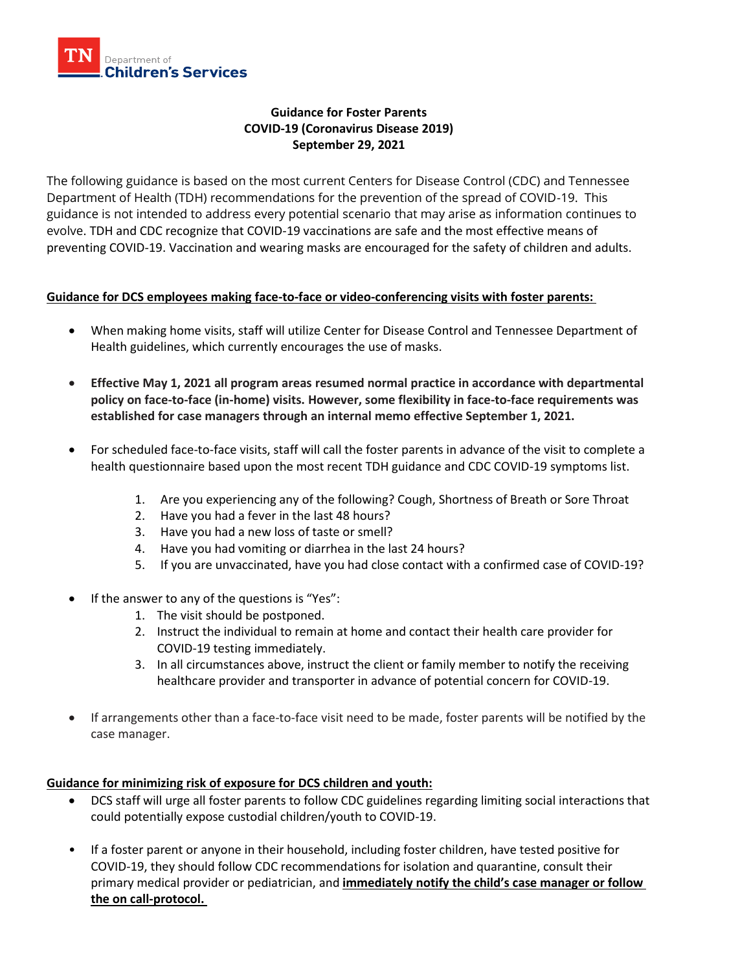

# **Guidance for Foster Parents COVID-19 (Coronavirus Disease 2019) September 29, 2021**

The following guidance is based on the most current Centers for Disease Control (CDC) and Tennessee Department of Health (TDH) recommendations for the prevention of the spread of COVID-19. This guidance is not intended to address every potential scenario that may arise as information continues to evolve. TDH and CDC recognize that COVID-19 vaccinations are safe and the most effective means of preventing COVID-19. Vaccination and wearing masks are encouraged for the safety of children and adults.

## **Guidance for DCS employees making face-to-face or video-conferencing visits with foster parents:**

- When making home visits, staff will utilize Center for Disease Control and Tennessee Department of Health guidelines, which currently encourages the use of masks.
- **Effective May 1, 2021 all program areas resumed normal practice in accordance with departmental policy on face-to-face (in-home) visits. However, some flexibility in face-to-face requirements was established for case managers through an internal memo effective September 1, 2021.**
- For scheduled face-to-face visits, staff will call the foster parents in advance of the visit to complete a health questionnaire based upon the most recent TDH guidance and CDC COVID-19 symptoms list.
	- 1. Are you experiencing any of the following? Cough, Shortness of Breath or Sore Throat
	- 2. Have you had a fever in the last 48 hours?
	- 3. Have you had a new loss of taste or smell?
	- 4. Have you had vomiting or diarrhea in the last 24 hours?
	- 5. If you are unvaccinated, have you had close contact with a confirmed case of COVID-19?
- If the answer to any of the questions is "Yes":
	- 1. The visit should be postponed.
	- 2. Instruct the individual to remain at home and contact their health care provider for COVID-19 testing immediately.
	- 3. In all circumstances above, instruct the client or family member to notify the receiving healthcare provider and transporter in advance of potential concern for COVID-19.
- If arrangements other than a face-to-face visit need to be made, foster parents will be notified by the case manager.

### **Guidance for minimizing risk of exposure for DCS children and youth:**

- DCS staff will urge all foster parents to follow CDC guidelines regarding limiting social interactions that could potentially expose custodial children/youth to COVID-19.
- If a foster parent or anyone in their household, including foster children, have tested positive for COVID-19, they should follow CDC recommendations for isolation and quarantine, consult their primary medical provider or pediatrician, and **immediately notify the child's case manager or follow the on call-protocol.**